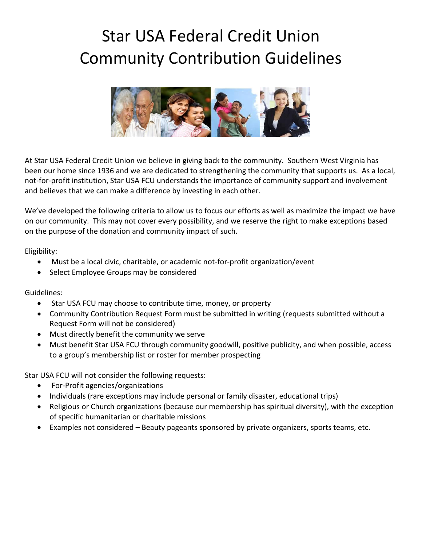## Star USA Federal Credit Union Community Contribution Guidelines



At Star USA Federal Credit Union we believe in giving back to the community. Southern West Virginia has been our home since 1936 and we are dedicated to strengthening the community that supports us. As a local, not-for-profit institution, Star USA FCU understands the importance of community support and involvement and believes that we can make a difference by investing in each other.

We've developed the following criteria to allow us to focus our efforts as well as maximize the impact we have on our community. This may not cover every possibility, and we reserve the right to make exceptions based on the purpose of the donation and community impact of such.

Eligibility:

- Must be a local civic, charitable, or academic not-for-profit organization/event
- Select Employee Groups may be considered

Guidelines:

- Star USA FCU may choose to contribute time, money, or property
- Community Contribution Request Form must be submitted in writing (requests submitted without a Request Form will not be considered)
- Must directly benefit the community we serve
- Must benefit Star USA FCU through community goodwill, positive publicity, and when possible, access to a group's membership list or roster for member prospecting

Star USA FCU will not consider the following requests:

- For-Profit agencies/organizations
- Individuals (rare exceptions may include personal or family disaster, educational trips)
- Religious or Church organizations (because our membership has spiritual diversity), with the exception of specific humanitarian or charitable missions
- Examples not considered Beauty pageants sponsored by private organizers, sports teams, etc.